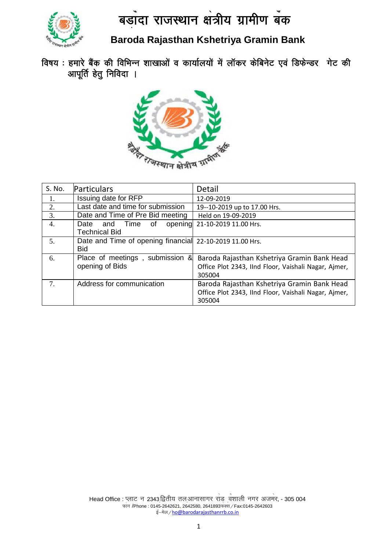

**Baroda Rajasthan Kshetriya Gramin Bank**

विषय : हमारे बैंक की विभिन्न शाखाओं व कार्यालयों में लॉकर केबिनेट एवं डिफेन्डर गेट की आपूर्ति हेतु निविदा ।



| S. No.         | Particulars                                                            | Detail                                                                                                        |
|----------------|------------------------------------------------------------------------|---------------------------------------------------------------------------------------------------------------|
| 1.             | Issuing date for RFP                                                   | 12-09-2019                                                                                                    |
| 2.             | Last date and time for submission                                      | 19--10-2019 up to 17.00 Hrs.                                                                                  |
| 3.             | Date and Time of Pre Bid meeting                                       | Held on 19-09-2019                                                                                            |
| 4.             | and Time of<br>Date<br>opening<br><b>Technical Bid</b>                 | 21-10-2019 11.00 Hrs.                                                                                         |
| 5.             | Date and Time of opening financial 22-10-2019 11.00 Hrs.<br><b>Bid</b> |                                                                                                               |
| 6.             | Place of meetings, submission &<br>opening of Bids                     | Baroda Rajasthan Kshetriya Gramin Bank Head<br>Office Plot 2343, IInd Floor, Vaishali Nagar, Ajmer,<br>305004 |
| 7 <sub>1</sub> | Address for communication                                              | Baroda Rajasthan Kshetriya Gramin Bank Head<br>Office Plot 2343, IInd Floor, Vaishali Nagar, Ajmer,<br>305004 |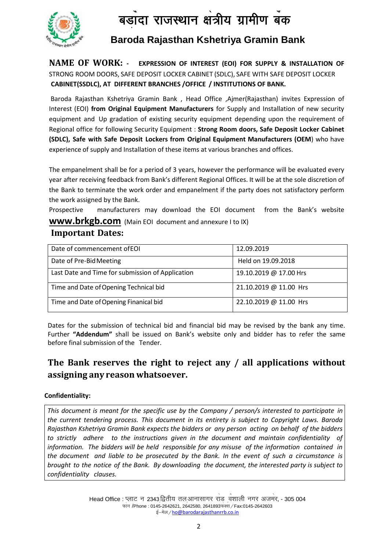

**Baroda Rajasthan Kshetriya Gramin Bank**

**CABINET(SSDLC), AT DIFFERENT BRANCHES / OFFICE / INSTITUTIONS OF BANK. NAME OF WORK: - EXPRESSION OF INTEREST (EOI) FOR SUPPLY & INSTALLATION OF**  STRONG ROOM DOORS, SAFE DEPOSIT LOCKER CABINET (SDLC), SAFE WITH SAFE DEPOSIT LOCKER

Baroda Rajasthan Kshetriya Gramin Bank , Head Office ,Ajmer(Rajasthan) invites Expression of Interest (EOI) **from Original Equipment Manufacturers** for Supply and Installation of new security equipment and Up gradation of existing security equipment depending upon the requirement of Regional office for following Security Equipment : **Strong Room doors, Safe Deposit Locker Cabinet (SDLC), Safe with Safe Deposit Lockers from Original Equipment Manufacturers (OEM**) who have experience of supply and Installation of these items at various branches and offices.

The empanelment shall be for a period of 3 years, however the performance will be evaluated every year after receiving feedback from Bank's different Regional Offices. It will be at the sole discretion of the Bank to terminate the work order and empanelment if the party does not satisfactory perform the work assigned by the Bank.

Prospective manufacturers may download the EOI document from the Bank's website **[www.brkgb.com](http://www.brkgb.com/)** (Main EOI document and annexure I to IX)

# **Important Dates:**

| Date of commencement of EOI                      | 12.09.2019             |
|--------------------------------------------------|------------------------|
| Date of Pre-Bid Meeting                          | Held on 19.09.2018     |
| Last Date and Time for submission of Application | 19.10.2019 @ 17.00 Hrs |
| Time and Date of Opening Technical bid           | 21.10.2019 @ 11.00 Hrs |
| Time and Date of Opening Finanical bid           | 22.10.2019 @ 11.00 Hrs |

Dates for the submission of technical bid and financial bid may be revised by the bank any time. Further **"Addendum"** shall be issued on Bank's website only and bidder has to refer the same before final submission of the Tender.

# **The Bank reserves the right to reject any / all applications without assigning any reason whatsoever.**

#### **Confidentiality:**

*This document is meant for the specific use by the Company / person/s interested to participate in the current tendering process. This document in its entirety is subject to Copyright Laws. Baroda Rajasthan Kshetriya Gramin Bank expects the bidders or any person acting on behalf of the bidders to strictly adhere to the instructions given in the document and maintain confidentiality of information. The bidders will be held responsible for any misuse of the information contained in the document and liable to be prosecuted by the Bank. In the event of such a circumstance is brought to the notice of the Bank. By downloading the document, the interested party is subject to confidentiality clauses.*

> Head Office : प्लाट न 2343 द्वितीय तल आनासागर राड <sub>,</sub>वंशाली नगर अजमर, - 305 004 S फोन /Phone : 0145-2642621, 2642580, 2641893फेक्से / Fax:0145-2642603 s ई-मेल / [h](mailto:ho@barodarajasthanrrb.co.in)o@barodarajasthanrrb.co.in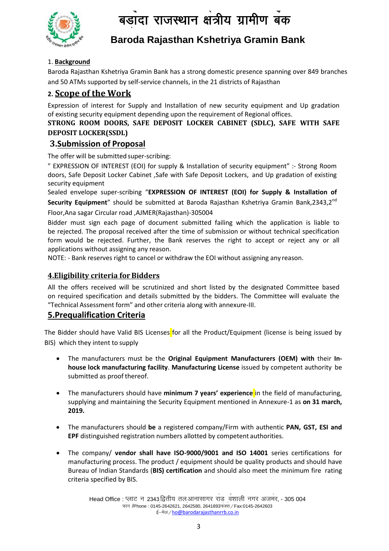

# **Baroda Rajasthan Kshetriya Gramin Bank**

### 1. **Background**

and 50 ATMs supported by self-service channels, in the 21 districts of Rajasthan S Baroda Rajasthan Kshetriya Gramin Bank has a strong domestic presence spanning over 849 branches

# **2. Scope of the Work**

Expression of interest for Supply and Installation of new security equipment and Up gradation of existing security equipment depending upon the requirement of Regional offices.

### **STRONG ROOM DOORS, SAFE DEPOSIT LOCKER CABINET (SDLC), SAFE WITH SAFE DEPOSIT LOCKER(SSDL)**

## **3.Submission of Proposal**

The offer will be submitted super-scribing:

" EXPRESSION OF INTEREST (EOI) for supply & Installation of security equipment" :- Strong Room doors, Safe Deposit Locker Cabinet ,Safe with Safe Deposit Lockers, and Up gradation of existing security equipment

Sealed envelope super-scribing "**EXPRESSION OF INTEREST (EOI) for Supply & Installation of Security Equipment**" should be submitted at Baroda Rajasthan Kshetriya Gramin Bank,2343,2nd Floor,Ana sagar Circular road ,AJMER(Rajasthan)-305004

Bidder must sign each page of document submitted failing which the application is liable to be rejected. The proposal received after the time of submission or without technical specification form would be rejected. Further, the Bank reserves the right to accept or reject any or all applications without assigning any reason.

NOTE: - Bank reserves right to cancel or withdraw the EOI without assigning any reason.

### **4.Eligibility criteria forBidders**

All the offers received will be scrutinized and short listed by the designated Committee based on required specification and details submitted by the bidders. The Committee will evaluate the "Technical Assessment form" and other criteria along with annexure-III.

# **5.Prequalification Criteria**

The Bidder should have Valid BIS Licenses for all the Product/Equipment (license is being issued by BIS) which they intent to supply

- The manufacturers must be the **Original Equipment Manufacturers (OEM) with** their **Inhouse lock manufacturing facility**. **Manufacturing License** issued by competent authority be submitted as proof thereof.
- The manufacturers should have **minimum 7 years' experience** in the field of manufacturing, supplying and maintaining the Security Equipment mentioned in Annexure-1 as **on 31 march, 2019.**
- The manufacturers should **be** a registered company/Firm with authentic **PAN, GST, ESI and EPF** distinguished registration numbers allotted by competent authorities.
- The company/ **vendor shall have ISO-9000/9001 and ISO 14001** series certifications for manufacturing process. The product / equipment should be quality products and should have Bureau of Indian Standards (**BIS) certification** and should also meet the minimum fire rating criteria specified by BIS.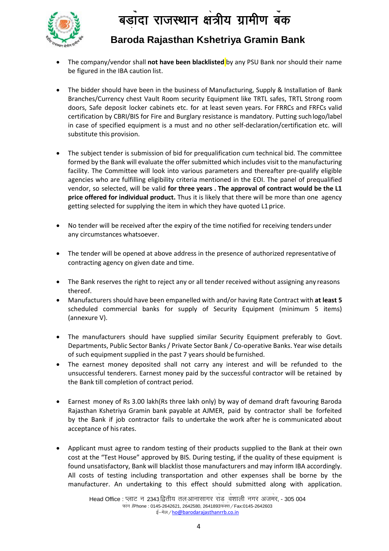

# **Baroda Rajasthan Kshetriya Gramin Bank**

- The company/vendor shall **not have been blacklisted** by any PSU Bank nor should their name be figured in the IBA caution list.
- The bidder should have been in the business of Manufacturing, Supply & Installation of Bank Branches/Currency chest Vault Room security Equipment like TRTL safes, TRTL Strong room doors, Safe deposit locker cabinets etc. for at least seven years. For FRRCs and FRFCs valid certification by CBRI/BIS for Fire and Burglary resistance is mandatory. Putting suchlogo/label in case of specified equipment is a must and no other self-declaration/certification etc. will substitute this provision.
- The subject tender is submission of bid for prequalification cum technical bid. The committee formed by the Bank will evaluate the offer submitted which includes visit to the manufacturing facility. The Committee will look into various parameters and thereafter pre-qualify eligible agencies who are fulfilling eligibility criteria mentioned in the EOI. The panel of prequalified vendor, so selected, will be valid **for three years . The approval of contract would be the L1 price offered for individual product.** Thus it is likely that there will be more than one agency getting selected for supplying the item in which they have quoted L1 price.
- No tender will be received after the expiry of the time notified for receiving tenders under any circumstances whatsoever.
- The tender will be opened at above address in the presence of authorized representative of contracting agency on given date and time.
- The Bank reserves the right to reject any or all tender received without assigning any reasons thereof.
- Manufacturers should have been empanelled with and/or having Rate Contract with **at least 5** scheduled commercial banks for supply of Security Equipment (minimum 5 items) (annexure V).
- The manufacturers should have supplied similar Security Equipment preferably to Govt. Departments, Public Sector Banks / Private Sector Bank / Co-operative Banks. Year wise details of such equipment supplied in the past 7 years should be furnished.
- The earnest money deposited shall not carry any interest and will be refunded to the unsuccessful tenderers. Earnest money paid by the successful contractor will be retained by the Bank till completion of contract period.
- Earnest money of Rs 3.00 lakh(Rs three lakh only) by way of demand draft favouring Baroda Rajasthan Kshetriya Gramin bank payable at AJMER, paid by contractor shall be forfeited by the Bank if job contractor fails to undertake the work after he is communicated about acceptance of hisrates.
- Applicant must agree to random testing of their products supplied to the Bank at their own cost at the "Test House" approved by BIS. During testing, if the quality of these equipment is found unsatisfactory, Bank will blacklist those manufacturers and may inform IBA accordingly. All costs of testing including transportation and other expenses shall be borne by the manufacturer. An undertaking to this effect should submitted along with application.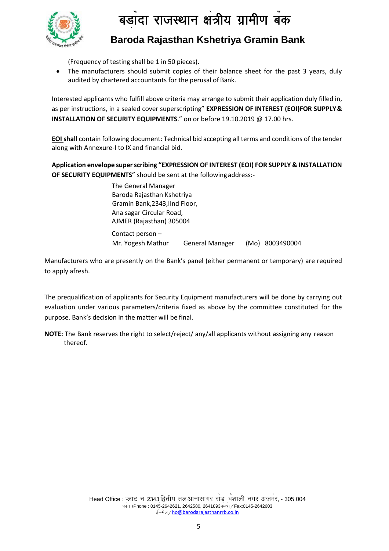

# **Baroda Rajasthan Kshetriya Gramin Bank**

(Frequency of testing shall be 1 in 50 pieces).

audited by chartered accountants for the perusal of Bank. The manufacturers should submit copies of their balance sheet for the past 3 years, duly

Interested applicants who fulfill above criteria may arrange to submit their application duly filled in, as per instructions, in a sealed cover superscripting" **EXPRESSION OF INTEREST (EOI)FOR SUPPLY& INSTALLATION OF SECURITY EQUIPMENTS**." on or before 19.10.2019 @ 17.00 hrs.

**EOI shall** contain following document: Technical bid accepting all terms and conditions of the tender along with Annexure-I to IX and financial bid.

**Application envelope superscribing "EXPRESSION OF INTEREST (EOI) FOR SUPPLY & INSTALLATION OF SECURITY EQUIPMENTS**" should be sent at the following address:-

> The General Manager Baroda Rajasthan Kshetriya Gramin Bank,2343,IInd Floor, Ana sagar Circular Road, AJMER (Rajasthan) 305004 Contact person – Mr. Yogesh Mathur General Manager (Mo) 8003490004

Manufacturers who are presently on the Bank's panel (either permanent or temporary) are required to apply afresh.

The prequalification of applicants for Security Equipment manufacturers will be done by carrying out evaluation under various parameters/criteria fixed as above by the committee constituted for the purpose. Bank's decision in the matter will be final.

**NOTE:** The Bank reserves the right to select/reject/ any/all applicants without assigning any reason thereof.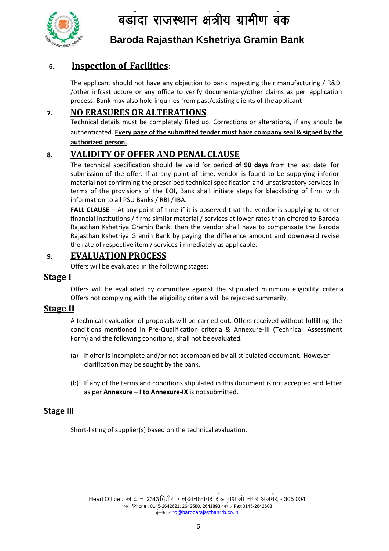

**Baroda Rajasthan Kshetriya Gramin Bank**

# **6. Inspection of Facilities**:

The applicant should not have any objection to bank inspecting their manufacturing / R&D S /other infrastructure or any office to verify documentary/other claims as per application process. Bank may also hold inquiries from past/existing clients of theapplicant

### **7. NO ERASURES OR ALTERATIONS**

Technical details must be completely filled up. Corrections or alterations, if any should be authenticated. **Every page of the submitted tender must have company seal & signed by the authorized person.**

# **8. VALIDITY OF OFFER AND PENAL CLAUSE**

The technical specification should be valid for period **of 90 days** from the last date for submission of the offer. If at any point of time, vendor is found to be supplying inferior material not confirming the prescribed technical specification and unsatisfactory services in terms of the provisions of the EOI, Bank shall initiate steps for blacklisting of firm with information to all PSU Banks / RBI / IBA.

**FALL CLAUSE** – At any point of time if it is observed that the vendor is supplying to other financial institutions / firms similar material / services at lower rates than offered to Baroda Rajasthan Kshetriya Gramin Bank, then the vendor shall have to compensate the Baroda Rajasthan Kshetriya Gramin Bank by paying the difference amount and downward revise the rate of respective item / services immediately as applicable.

## **9. EVALUATION PROCESS**

Offers will be evaluated in the following stages:

## **Stage I**

Offers will be evaluated by committee against the stipulated minimum eligibility criteria. Offers not complying with the eligibility criteria will be rejected summarily.

## **Stage II**

A technical evaluation of proposals will be carried out. Offers received without fulfilling the conditions mentioned in Pre-Qualification criteria & Annexure-III (Technical Assessment Form) and the following conditions, shall not be evaluated.

- (a) If offer is incomplete and/or not accompanied by all stipulated document. However clarification may be sought by the bank.
- (b) If any of the terms and conditions stipulated in this document is not accepted and letter as per **Annexure – I to Annexure-IX** is notsubmitted.

## **Stage III**

Short-listing of supplier(s) based on the technical evaluation.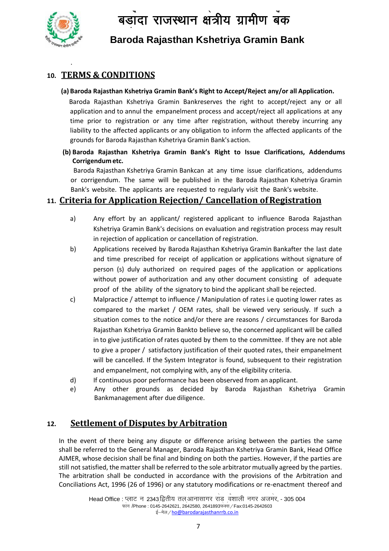

.

# **Baroda Rajasthan Kshetriya Gramin Bank**

# **10. TERMS & CONDITIONS**

#### **(a) Baroda Rajasthan Kshetriya Gramin Bank's Right to Accept/Reject any/or all Application.**

Baroda Rajasthan Kshetriya Gramin Bankreserves the right to accept/reject any or all application and to annul the empanelment process and accept/reject all applications at any time prior to registration or any time after registration, without thereby incurring any liability to the affected applicants or any obligation to inform the affected applicants of the grounds for Baroda Rajasthan Kshetriya Gramin Bank's action.

**(b) Baroda Rajasthan Kshetriya Gramin Bank's Right to Issue Clarifications, Addendums Corrigendum etc.**

 Baroda Rajasthan Kshetriya Gramin Bankcan at any time issue clarifications, addendums or corrigendum. The same will be published in the Baroda Rajasthan Kshetriya Gramin Bank's website. The applicants are requested to regularly visit the Bank's website.

# **11. Criteria for Application Rejection/ Cancellation ofRegistration**

- a) Any effort by an applicant/ registered applicant to influence Baroda Rajasthan Kshetriya Gramin Bank's decisions on evaluation and registration process may result in rejection of application or cancellation of registration.
- b) Applications received by Baroda Rajasthan Kshetriya Gramin Bankafter the last date and time prescribed for receipt of application or applications without signature of person (s) duly authorized on required pages of the application or applications without power of authorization and any other document consisting of adequate proof of the ability of the signatory to bind the applicant shall be rejected.
- c) Malpractice / attempt to influence / Manipulation of rates i.e quoting lower rates as compared to the market / OEM rates, shall be viewed very seriously. If such a situation comes to the notice and/or there are reasons / circumstances for Baroda Rajasthan Kshetriya Gramin Bankto believe so, the concerned applicant will be called in to give justification of rates quoted by them to the committee. If they are not able to give a proper / satisfactory justification of their quoted rates, their empanelment will be cancelled. If the System Integrator is found, subsequent to their registration and empanelment, not complying with, any of the eligibility criteria.
- d) If continuous poor performance has been observed from an applicant.
- e) Any other grounds as decided by Baroda Rajasthan Kshetriya Gramin Bankmanagement after due diligence.

# **12. Settlement of Disputes by Arbitration**

In the event of there being any dispute or difference arising between the parties the same shall be referred to the General Manager, Baroda Rajasthan Kshetriya Gramin Bank, Head Office AJMER, whose decision shall be final and binding on both the parties. However, if the parties are still not satisfied, the matter shall be referred to the sole arbitrator mutually agreed by the parties. The arbitration shall be conducted in accordance with the provisions of the Arbitration and Conciliations Act, 1996 (26 of 1996) or any statutory modifications or re-enactment thereof and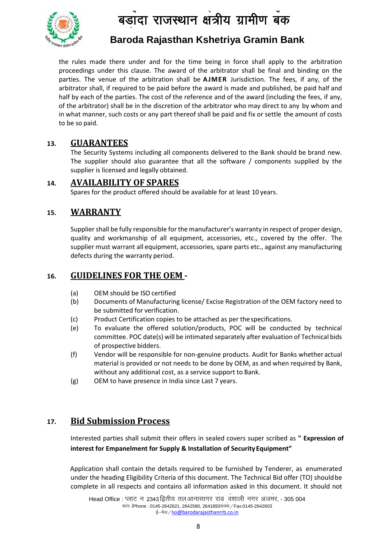

# **Baroda Rajasthan Kshetriya Gramin Bank**

parties. The venue of the arbitration shall be **AJMER** Jurisdiction. The fees, if any, of the İ the rules made there under and for the time being in force shall apply to the arbitration proceedings under this clause. The award of the arbitrator shall be final and binding on the arbitrator shall, if required to be paid before the award is made and published, be paid half and half by each of the parties. The cost of the reference and of the award (including the fees, if any, of the arbitrator) shall be in the discretion of the arbitrator who may direct to any by whom and in what manner, such costs or any part thereof shall be paid and fix or settle the amount of costs to be so paid.

# **13. GUARANTEES**

The Security Systems including all components delivered to the Bank should be brand new. The supplier should also guarantee that all the software / components supplied by the supplier is licensed and legally obtained.

### **14. AVAILABILITY OF SPARES**

Spares for the product offered should be available for at least 10 years.

## **15. WARRANTY**

Supplier shall be fully responsible for the manufacturer's warranty in respect of proper design, quality and workmanship of all equipment, accessories, etc., covered by the offer. The supplier must warrant all equipment, accessories, spare parts etc., against any manufacturing defects during the warranty period.

## **16. GUIDELINES FOR THE OEM -**

- (a) OEM should be ISO certified
- (b) Documents of Manufacturing license/ Excise Registration of the OEM factory need to be submitted for verification.
- (c) Product Certification copies to be attached as per thespecifications.
- (e) To evaluate the offered solution/products, POC will be conducted by technical committee. POC date(s) will be intimated separately after evaluation of Technical bids of prospective bidders.
- (f) Vendor will be responsible for non-genuine products. Audit for Banks whether actual material is provided or not needs to be done by OEM, as and when required by Bank, without any additional cost, as a service support to Bank.
- (g) OEM to have presence in India since Last 7 years.

# **17. Bid Submission Process**

Interested parties shall submit their offers in sealed covers super scribed as **" Expression of interest for Empanelment for Supply & Installation of Security Equipment"**

Application shall contain the details required to be furnished by Tenderer, as enumerated under the heading Eligibility Criteria of this document. The Technical Bid offer (TO) shouldbe complete in all respects and contains all information asked in this document. It should not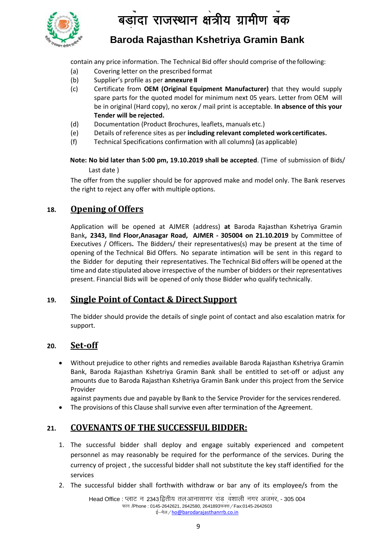

**Baroda Rajasthan Kshetriya Gramin Bank**

contain any price information. The Technical Bid offer should comprise of the following:

- (a) Covering letter on the prescribed format
- (b) Supplier's profile as per **annexure II** S
- (c) Certificate from **OEM (Original Equipment Manufacturer)** that they would supply spare parts for the quoted model for minimum next 05 years. Letter from OEM will be in original (Hard copy), no xerox / mail print is acceptable. **In absence of this your Tender will be rejected.**
- (d) Documentation (Product Brochures, leaflets, manuals etc.)
- (e) Details of reference sites as per **including relevant completed workcertificates.**
- (f) Technical Specifications confirmation with all columns**)** (as applicable)

**Note: No bid later than 5:00 pm, 19.10.2019 shall be accepted**. (Time of submission of Bids/ Last date )

The offer from the supplier should be for approved make and model only. The Bank reserves the right to reject any offer with multiple options.

# **18. Opening of Offers**

Application will be opened at AJMER (address) **at** Baroda Rajasthan Kshetriya Gramin Bank**, 2343, IInd Floor,Anasagar Road, AJMER - 305004 on 21.10.2019** by Committee of Executives / Officers**.** The Bidders/ their representatives(s) may be present at the time of opening of the Technical Bid Offers. No separate intimation will be sent in this regard to the Bidder for deputing their representatives. The Technical Bid offers will be opened at the time and date stipulated above irrespective of the number of bidders or their representatives present. Financial Bids will be opened of only those Bidder who qualify technically.

## **19. Single Point of Contact & Direct Support**

The bidder should provide the details of single point of contact and also escalation matrix for support.

#### **20. Set-off**

 Without prejudice to other rights and remedies available Baroda Rajasthan Kshetriya Gramin Bank, Baroda Rajasthan Kshetriya Gramin Bank shall be entitled to set-off or adjust any amounts due to Baroda Rajasthan Kshetriya Gramin Bank under this project from the Service Provider

against payments due and payable by Bank to the Service Provider for the servicesrendered.

The provisions of this Clause shall survive even after termination of the Agreement.

# **21. COVENANTS OF THE SUCCESSFUL BIDDER:**

- 1. The successful bidder shall deploy and engage suitably experienced and competent personnel as may reasonably be required for the performance of the services. During the currency of project , the successful bidder shall not substitute the key staff identified for the services
- 2. The successful bidder shall forthwith withdraw or bar any of its employee/s from the

Head Office : प्लाट न 2343,द्वितीय तल,आनासागर राड <sub>,</sub>वंशाली नगर अजमर, - 305 004 S फान /Phone : 0145-2642621, 2642580, 2641893फक्स */* Fax:0145-2642603 s ई-मेल / [h](mailto:ho@barodarajasthanrrb.co.in)o@barodarajasthanrrb.co.in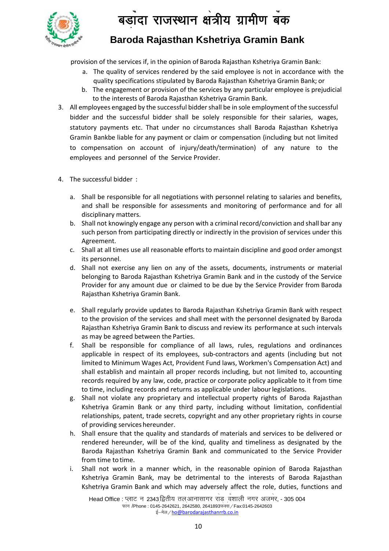

# **Baroda Rajasthan Kshetriya Gramin Bank**

provision of the services if, in the opinion of Baroda Rajasthan Kshetriya Gramin Bank:

- quality specifications stipulated by Baroda Rajasthan Kshetriya Gramin Bank; or S a. The quality of services rendered by the said employee is not in accordance with the
- b. The engagement or provision of the services by any particular employee is prejudicial to the interests of Baroda Rajasthan Kshetriya Gramin Bank.
- 3. All employees engaged by the successful biddershall be in sole employment of the successful bidder and the successful bidder shall be solely responsible for their salaries, wages, statutory payments etc. That under no circumstances shall Baroda Rajasthan Kshetriya Gramin Bankbe liable for any payment or claim or compensation (including but not limited to compensation on account of injury/death/termination) of any nature to the employees and personnel of the Service Provider.
- 4. The successful bidder :
	- a. Shall be responsible for all negotiations with personnel relating to salaries and benefits, and shall be responsible for assessments and monitoring of performance and for all disciplinary matters.
	- b. Shall not knowingly engage any person with a criminal record/conviction and shall bar any such person from participating directly or indirectly in the provision of services under this Agreement.
	- c. Shall at all times use all reasonable efforts to maintain discipline and good order amongst its personnel.
	- d. Shall not exercise any lien on any of the assets, documents, instruments or material belonging to Baroda Rajasthan Kshetriya Gramin Bank and in the custody of the Service Provider for any amount due or claimed to be due by the Service Provider from Baroda Rajasthan Kshetriya Gramin Bank.
	- e. Shall regularly provide updates to Baroda Rajasthan Kshetriya Gramin Bank with respect to the provision of the services and shall meet with the personnel designated by Baroda Rajasthan Kshetriya Gramin Bank to discuss and review its performance at such intervals as may be agreed between the Parties.
	- f. Shall be responsible for compliance of all laws, rules, regulations and ordinances applicable in respect of its employees, sub-contractors and agents (including but not limited to Minimum Wages Act, Provident Fund laws, Workmen's Compensation Act) and shall establish and maintain all proper records including, but not limited to, accounting records required by any law, code, practice or corporate policy applicable to it from time to time, including records and returns as applicable under labour legislations.
	- g. Shall not violate any proprietary and intellectual property rights of Baroda Rajasthan Kshetriya Gramin Bank or any third party, including without limitation, confidential relationships, patent, trade secrets, copyright and any other proprietary rights in course of providing services hereunder.
	- h. Shall ensure that the quality and standards of materials and services to be delivered or rendered hereunder, will be of the kind, quality and timeliness as designated by the Baroda Rajasthan Kshetriya Gramin Bank and communicated to the Service Provider from time to time.
	- i. Shall not work in a manner which, in the reasonable opinion of Baroda Rajasthan Kshetriya Gramin Bank, may be detrimental to the interests of Baroda Rajasthan Kshetriya Gramin Bank and which may adversely affect the role, duties, functions and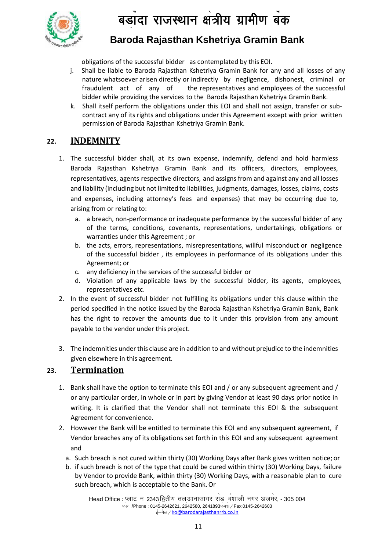$\overline{\mathbf{q}}$ द्य .<br>ादा राजस्थान क्षेत्रीय ग्रामीण बँक S



# **Baroda Rajasthan Kshetriya Gramin Bank**

obligations of the successful bidder as contemplated by this EOI.

- nature whatsoever arisen directly or indirectly by negligence, dishonest, criminal or I j. Shall be liable to Baroda Rajasthan Kshetriya Gramin Bank for any and all losses of any fraudulent act of any of the representatives and employees of the successful bidder while providing the services to the Baroda Rajasthan Kshetriya Gramin Bank.
- k. Shall itself perform the obligations under this EOI and shall not assign, transfer or subcontract any of its rights and obligations under this Agreement except with prior written permission of Baroda Rajasthan Kshetriya Gramin Bank.

# **22. INDEMNITY**

- 1. The successful bidder shall, at its own expense, indemnify, defend and hold harmless Baroda Rajasthan Kshetriya Gramin Bank and its officers, directors, employees, representatives, agents respective directors, and assigns from and against any and all losses and liability (including but not limited to liabilities, judgments, damages, losses, claims, costs and expenses, including attorney's fees and expenses) that may be occurring due to, arising from or relating to:
	- a. a breach, non-performance or inadequate performance by the successful bidder of any of the terms, conditions, covenants, representations, undertakings, obligations or warranties under this Agreement ; or
	- b. the acts, errors, representations, misrepresentations, willful misconduct or negligence of the successful bidder , its employees in performance of its obligations under this Agreement; or
	- c. any deficiency in the services of the successful bidder or
	- d. Violation of any applicable laws by the successful bidder, its agents, employees, representatives etc.
- 2. In the event of successful bidder not fulfilling its obligations under this clause within the period specified in the notice issued by the Baroda Rajasthan Kshetriya Gramin Bank, Bank has the right to recover the amounts due to it under this provision from any amount payable to the vendor under thisproject.
- 3. The indemnities under this clause are in addition to and without prejudice to the indemnities given elsewhere in this agreement.

## **23. Termination**

- 1. Bank shall have the option to terminate this EOI and / or any subsequent agreement and / or any particular order, in whole or in part by giving Vendor at least 90 days prior notice in writing. It is clarified that the Vendor shall not terminate this EOI & the subsequent Agreement for convenience.
- 2. However the Bank will be entitled to terminate this EOI and any subsequent agreement, if Vendor breaches any of its obligations set forth in this EOI and any subsequent agreement and
	- a. Such breach is not cured within thirty (30) Working Days after Bank gives written notice; or
	- b. if such breach is not of the type that could be cured within thirty (30) Working Days, failure by Vendor to provide Bank, within thirty (30) Working Days, with a reasonable plan to cure such breach, which is acceptable to the Bank.Or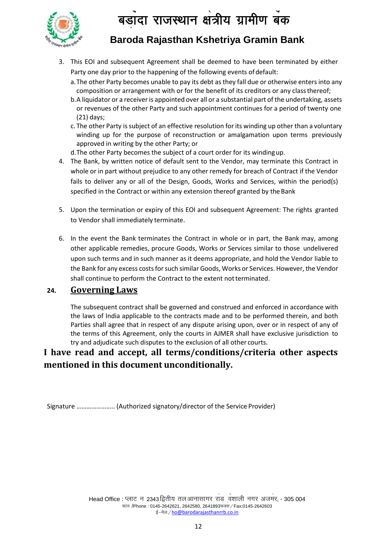

# **Baroda Rajasthan Kshetriya Gramin Bank**

- 3. This EOI and subsequent Agreement shall be deemed to have been terminated by either Party one day prior to the happening of the following events of default:
	- a. The other Party becomes unable to pay its debt as they fall due or otherwise enters into any S composition or arrangement with or for the benefit of its creditors or any classthereof;
	- b.A liquidator or a receiver is appointed over all or a substantial part of the undertaking, assets or revenues of the other Party and such appointment continues for a period of twenty one (21) days;
	- c. The other Party is subject of an effective resolution for its winding up other than a voluntary winding up for the purpose of reconstruction or amalgamation upon terms previously approved in writing by the other Party; or
	- d.The other Party becomes the subject of a court order for its windingup.
- 4. The Bank, by written notice of default sent to the Vendor, may terminate this Contract in whole or in part without prejudice to any other remedy for breach of Contract if the Vendor fails to deliver any or all of the Design, Goods, Works and Services, within the period(s) specified in the Contract or within any extension thereof granted by the Bank
- 5. Upon the termination or expiry of this EOI and subsequent Agreement: The rights granted to Vendor shall immediately terminate.
- 6. In the event the Bank terminates the Contract in whole or in part, the Bank may, among other applicable remedies, procure Goods, Works or Services similar to those undelivered upon such terms and in such manner as it deems appropriate, and hold the Vendor liable to the Bank for any excess costs for such similar Goods, Works or Services. However, the Vendor shall continue to perform the Contract to the extent not terminated.

## **24. Governing Laws**

The subsequent contract shall be governed and construed and enforced in accordance with the laws of India applicable to the contracts made and to be performed therein, and both Parties shall agree that in respect of any dispute arising upon, over or in respect of any of the terms of this Agreement, only the courts in AJMER shall have exclusive jurisdiction to try and adjudicate such disputes to the exclusion of all other courts.

# **I have read and accept, all terms/conditions/criteria other aspects mentioned in this document unconditionally.**

Signature ………………….. (Authorized signatory/director of the Service Provider)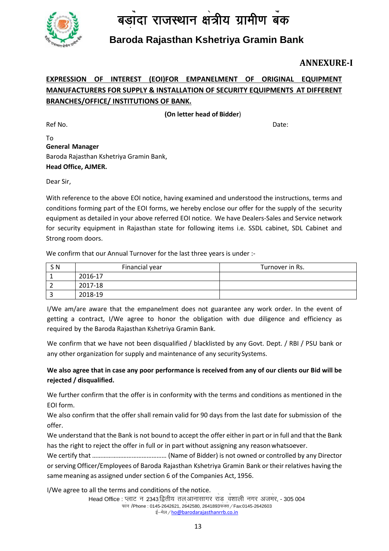

# **Baroda Rajasthan Kshetriya Gramin Bank**

# **ANNEXURE-I**

# <u>EXPRESSION OF INTEREST (EOI)FOR EMPANELMENT OF ORIGINAL EQUIPMENT</u> **MANUFACTURERS FOR SUPPLY & INSTALLATION OF SECURITY EQUIPMENTS AT DIFFERENT BRANCHES/OFFICE/ INSTITUTIONS OF BANK.**

**(On letter head of Bidder**)

Ref No. **Date:** 

To **General Manager**  Baroda Rajasthan Kshetriya Gramin Bank, **Head Office, AJMER.**

Dear Sir,

With reference to the above EOI notice, having examined and understood the instructions, terms and conditions forming part of the EOI forms, we hereby enclose our offer for the supply of the security equipment as detailed in your above referred EOI notice. We have Dealers-Sales and Service network for security equipment in Rajasthan state for following items i.e. SSDL cabinet, SDL Cabinet and Strong room doors.

We confirm that our Annual Turnover for the last three years is under :-

| S <sub>N</sub> | Financial year | Turnover in Rs. |
|----------------|----------------|-----------------|
|                | 2016-17        |                 |
|                | 2017-18        |                 |
|                | 2018-19        |                 |

I/We am/are aware that the empanelment does not guarantee any work order. In the event of getting a contract, I/We agree to honor the obligation with due diligence and efficiency as required by the Baroda Rajasthan Kshetriya Gramin Bank.

We confirm that we have not been disqualified / blacklisted by any Govt. Dept. / RBI / PSU bank or any other organization for supply and maintenance of any security Systems.

#### **We also agree that in case any poor performance is received from any of our clients our Bid will be rejected / disqualified.**

We further confirm that the offer is in conformity with the terms and conditions as mentioned in the EOI form.

We also confirm that the offer shall remain valid for 90 days from the last date for submission of the offer.

We understand that the Bank is not bound to accept the offer either in part or in full and that the Bank has the right to reject the offer in full or in part without assigning any reasonwhatsoever.

We certify that ……………………………………… (Name of Bidder) is not owned or controlled by any Director or serving Officer/Employees of Baroda Rajasthan Kshetriya Gramin Bank or their relatives having the same meaning as assigned under section 6 of the Companies Act, 1956.

I/We agree to all the terms and conditions of the notice.

Head Office : प्लाट न 2343 द्वितीय तल आनासागर राड <sub>,</sub>वंशाली नगर अजमर, - 305 004 S फान /Phone : 0145-2642621, 2642580, 2641893फक्स */* Fax:0145-2642603 s ई-मेल / [h](mailto:ho@barodarajasthanrrb.co.in)o@barodarajasthanrrb.co.in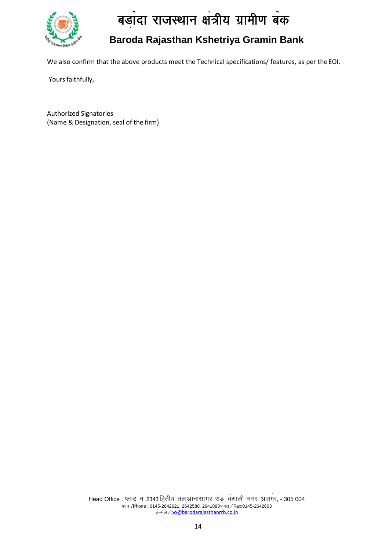

# **Baroda Rajasthan Kshetriya Gramin Bank**

We also confirm that the above products meet the Technical specifications/ features, as per the EOI.

Yours faithfully,

Authorized Signatories (Name & Designation, seal of the firm)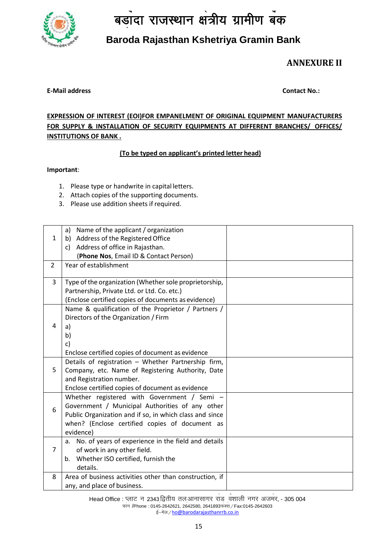

# **Baroda Rajasthan Kshetriya Gramin Bank**

**ANNEXURE II**

#### **E-Mail address Contact No.:**

## **EXPRESSION OF INTEREST (EOI)FOR EMPANELMENT OF ORIGINAL EQUIPMENT MANUFACTURERS FOR SUPPLY & INSTALLATION OF SECURITY EQUIPMENTS AT DIFFERENT BRANCHES/ OFFICES/ INSTITUTIONS OF BANK .**

#### **(To be typed on applicant's printed letter head)**

#### **Important**:

- 1. Please type or handwrite in capital letters.
- 2. Attach copies of the supporting documents.
- 3. Please use addition sheets if required.

| Name of the applicant / organization<br>a)                |                                                                                                                                                                                                                                                                                                                                                        |
|-----------------------------------------------------------|--------------------------------------------------------------------------------------------------------------------------------------------------------------------------------------------------------------------------------------------------------------------------------------------------------------------------------------------------------|
| b) Address of the Registered Office                       |                                                                                                                                                                                                                                                                                                                                                        |
| Address of office in Rajasthan.<br>c)                     |                                                                                                                                                                                                                                                                                                                                                        |
| (Phone Nos, Email ID & Contact Person)                    |                                                                                                                                                                                                                                                                                                                                                        |
| Year of establishment                                     |                                                                                                                                                                                                                                                                                                                                                        |
|                                                           |                                                                                                                                                                                                                                                                                                                                                        |
|                                                           |                                                                                                                                                                                                                                                                                                                                                        |
| Partnership, Private Ltd. or Ltd. Co. etc.)               |                                                                                                                                                                                                                                                                                                                                                        |
| (Enclose certified copies of documents as evidence)       |                                                                                                                                                                                                                                                                                                                                                        |
| Name & qualification of the Proprietor / Partners /       |                                                                                                                                                                                                                                                                                                                                                        |
| Directors of the Organization / Firm                      |                                                                                                                                                                                                                                                                                                                                                        |
| a)                                                        |                                                                                                                                                                                                                                                                                                                                                        |
| b)                                                        |                                                                                                                                                                                                                                                                                                                                                        |
| c)                                                        |                                                                                                                                                                                                                                                                                                                                                        |
| Enclose certified copies of document as evidence          |                                                                                                                                                                                                                                                                                                                                                        |
| Details of registration - Whether Partnership firm,       |                                                                                                                                                                                                                                                                                                                                                        |
| Company, etc. Name of Registering Authority, Date         |                                                                                                                                                                                                                                                                                                                                                        |
| and Registration number.                                  |                                                                                                                                                                                                                                                                                                                                                        |
| Enclose certified copies of document as evidence          |                                                                                                                                                                                                                                                                                                                                                        |
| Whether registered with Government / Semi -               |                                                                                                                                                                                                                                                                                                                                                        |
|                                                           |                                                                                                                                                                                                                                                                                                                                                        |
|                                                           |                                                                                                                                                                                                                                                                                                                                                        |
|                                                           |                                                                                                                                                                                                                                                                                                                                                        |
| evidence)                                                 |                                                                                                                                                                                                                                                                                                                                                        |
| No. of years of experience in the field and details<br>a. |                                                                                                                                                                                                                                                                                                                                                        |
|                                                           |                                                                                                                                                                                                                                                                                                                                                        |
| b.                                                        |                                                                                                                                                                                                                                                                                                                                                        |
| details.                                                  |                                                                                                                                                                                                                                                                                                                                                        |
|                                                           |                                                                                                                                                                                                                                                                                                                                                        |
| any, and place of business.                               |                                                                                                                                                                                                                                                                                                                                                        |
|                                                           | Type of the organization (Whether sole proprietorship,<br>Government / Municipal Authorities of any other<br>Public Organization and if so, in which class and since<br>when? (Enclose certified copies of document as<br>of work in any other field.<br>Whether ISO certified, furnish the<br>Area of business activities other than construction, if |

Head Office : प्लाट न 2343 द्वितीय तल आनासागर राड <sub>,</sub>वंशाली नगर अजमर, - 305 004 S फोन /Phone : 0145-2642621, 2642580, 2641893फेक्से / Fax:0145-2642603 s ई–मेल / [h](mailto:ho@barodarajasthanrrb.co.in)o@barodarajasthanrrb.co.in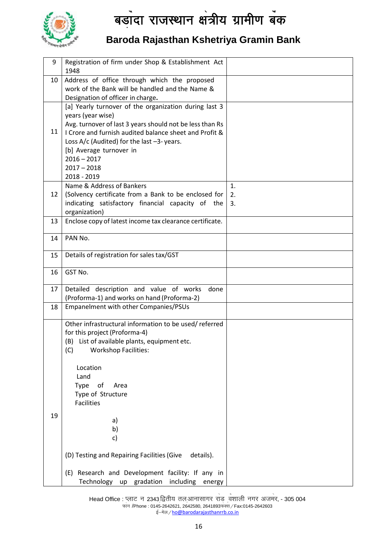

# **Baroda Rajasthan Kshetriya Gramin Bank**

| 9  | Registration of firm under Shop & Establishment Act<br>1948 |    |
|----|-------------------------------------------------------------|----|
| 10 | Address of office through which the proposed                |    |
|    | work of the Bank will be handled and the Name &             |    |
|    | Designation of officer in charge.                           |    |
|    | [a] Yearly turnover of the organization during last 3       |    |
|    | years (year wise)                                           |    |
|    | Avg. turnover of last 3 years should not be less than Rs    |    |
| 11 | I Crore and furnish audited balance sheet and Profit &      |    |
|    | Loss A/c (Audited) for the last $-3$ -years.                |    |
|    | [b] Average turnover in<br>$2016 - 2017$                    |    |
|    | $2017 - 2018$                                               |    |
|    | 2018 - 2019                                                 |    |
|    | Name & Address of Bankers                                   | 1. |
| 12 | (Solvency certificate from a Bank to be enclosed for        | 2. |
|    | indicating satisfactory financial capacity of the           | 3. |
|    | organization)                                               |    |
| 13 | Enclose copy of latest income tax clearance certificate.    |    |
| 14 | PAN No.                                                     |    |
| 15 | Details of registration for sales tax/GST                   |    |
|    |                                                             |    |
| 16 | GST No.                                                     |    |
| 17 | Detailed description and value of works<br>done             |    |
|    | (Proforma-1) and works on hand (Proforma-2)                 |    |
| 18 | Empanelment with other Companies/PSUs                       |    |
|    | Other infrastructural information to be used/referred       |    |
|    | for this project (Proforma-4)                               |    |
|    | (B) List of available plants, equipment etc.                |    |
|    | (C) Workshop Facilities:                                    |    |
|    | Location                                                    |    |
|    | Land                                                        |    |
|    | Type of<br>Area                                             |    |
|    | Type of Structure                                           |    |
|    | <b>Facilities</b>                                           |    |
| 19 |                                                             |    |
|    | a)                                                          |    |
|    | b)                                                          |    |
|    | c)                                                          |    |
|    | (D) Testing and Repairing Facilities (Give<br>details).     |    |
|    | (E) Research and Development facility: If any in            |    |
|    | Technology up gradation including energy                    |    |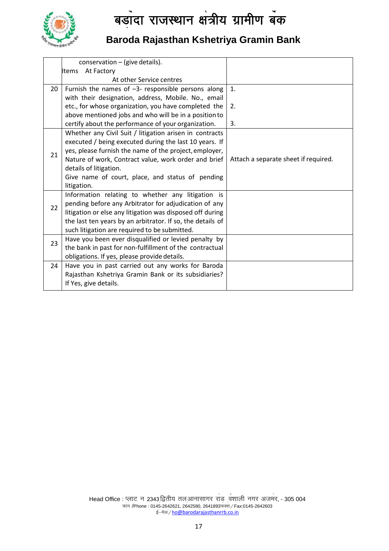

# **Baroda Rajasthan Kshetriya Gramin Bank**

|    | conservation - (give details).                             |                                      |
|----|------------------------------------------------------------|--------------------------------------|
|    | At Factory<br>Items                                        |                                      |
|    | At other Service centres                                   |                                      |
| 20 | Furnish the names of $-3$ - responsible persons along      | 1.                                   |
|    | with their designation, address, Mobile. No., email        |                                      |
|    | etc., for whose organization, you have completed the       | 2.                                   |
|    | above mentioned jobs and who will be in a position to      |                                      |
|    | certify about the performance of your organization.        | 3.                                   |
|    | Whether any Civil Suit / litigation arisen in contracts    |                                      |
|    | executed / being executed during the last 10 years. If     |                                      |
| 21 | yes, please furnish the name of the project, employer,     |                                      |
|    | Nature of work, Contract value, work order and brief       | Attach a separate sheet if required. |
|    | details of litigation.                                     |                                      |
|    | Give name of court, place, and status of pending           |                                      |
|    | litigation.                                                |                                      |
|    | Information relating to whether any litigation is          |                                      |
| 22 | pending before any Arbitrator for adjudication of any      |                                      |
|    | litigation or else any litigation was disposed off during  |                                      |
|    | the last ten years by an arbitrator. If so, the details of |                                      |
|    | such litigation are required to be submitted.              |                                      |
| 23 | Have you been ever disqualified or levied penalty by       |                                      |
|    | the bank in past for non-fulfillment of the contractual    |                                      |
|    | obligations. If yes, please provide details.               |                                      |
| 24 | Have you in past carried out any works for Baroda          |                                      |
|    | Rajasthan Kshetriya Gramin Bank or its subsidiaries?       |                                      |
|    | If Yes, give details.                                      |                                      |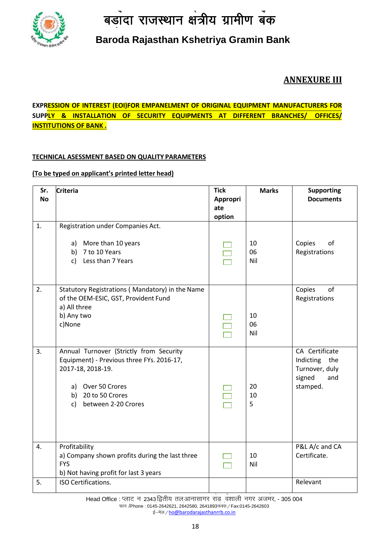

# **Baroda Rajasthan Kshetriya Gramin Bank**

# **ANNEXURE III**

### **EXPRESSION OF INTEREST (EOI)FOR EMPANELMENT OF ORIGINAL EQUIPMENT MANUFACTURERS FOR SUPPLY & INSTALLATION OF SECURITY EQUIPMENTS AT DIFFERENT BRANCHES/ OFFICES/ INSTITUTIONS OF BANK .**

#### **TECHNICAL ASESSMENT BASED ON QUALITY PARAMETERS**

#### **(To be typed on applicant's printed letter head)**

| Sr.              | <b>Criteria</b>                                 | <b>Tick</b> | <b>Marks</b> | <b>Supporting</b> |
|------------------|-------------------------------------------------|-------------|--------------|-------------------|
| <b>No</b>        |                                                 | Appropri    |              | <b>Documents</b>  |
|                  |                                                 | ate         |              |                   |
|                  |                                                 | option      |              |                   |
| 1.               | Registration under Companies Act.               |             |              |                   |
|                  | a) More than 10 years                           |             | 10           | Copies<br>of      |
|                  | b) 7 to 10 Years                                |             | 06           | Registrations     |
|                  | c) Less than 7 Years                            |             | Nil          |                   |
|                  |                                                 |             |              |                   |
| 2.               | Statutory Registrations (Mandatory) in the Name |             |              | of<br>Copies      |
|                  | of the OEM-ESIC, GST, Provident Fund            |             |              | Registrations     |
|                  | a) All three                                    |             |              |                   |
|                  | b) Any two<br>c)None                            |             | 10<br>06     |                   |
|                  |                                                 |             | Nil          |                   |
|                  |                                                 |             |              |                   |
| 3.               | Annual Turnover (Strictly from Security         |             |              | CA Certificate    |
|                  | Equipment) - Previous three FYs. 2016-17,       |             |              | Indicting the     |
|                  | 2017-18, 2018-19.                               |             |              | Turnover, duly    |
|                  |                                                 |             |              | signed<br>and     |
|                  | a) Over 50 Crores                               |             | 20           | stamped.          |
|                  | b) 20 to 50 Crores<br>between 2-20 Crores<br>c) |             | 10<br>5      |                   |
|                  |                                                 |             |              |                   |
|                  |                                                 |             |              |                   |
|                  |                                                 |             |              |                   |
| $\overline{4}$ . | Profitability                                   |             |              | P&L A/c and CA    |
|                  | a) Company shown profits during the last three  |             | 10           | Certificate.      |
|                  | <b>FYS</b>                                      |             | Nil          |                   |
|                  | b) Not having profit for last 3 years           |             |              |                   |
| 5.               | ISO Certifications.                             |             |              | Relevant          |
|                  |                                                 |             |              |                   |

Head Office : प्लाट न 2343 द्वितीय तल आनासागर राड <sub>,</sub>वंशाली नगर अजमर, - 305 004 S फान /Phone : 0145-2642621, 2642580, 2641893फक्स */* Fax:0145-2642603 s ई–मेल / [h](mailto:ho@barodarajasthanrrb.co.in)o@barodarajasthanrrb.co.in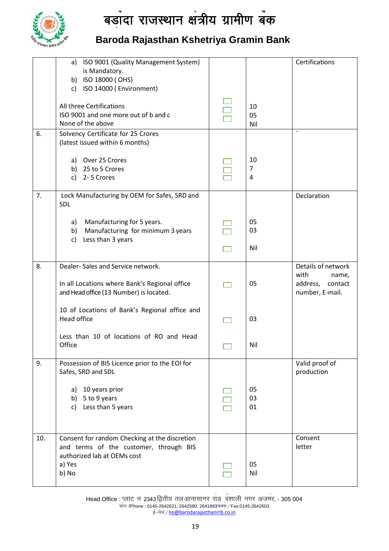

# **Baroda Rajasthan Kshetriya Gramin Bank**

|     | ISO 9001 (Quality Management System)<br>a)<br>is Mandatory.                              |                | Certifications                                          |
|-----|------------------------------------------------------------------------------------------|----------------|---------------------------------------------------------|
|     | b) ISO 18000 (OHS)                                                                       |                |                                                         |
|     | c) ISO 14000 (Environment)                                                               |                |                                                         |
|     | All three Certifications                                                                 | 10             |                                                         |
|     | ISO 9001 and one more out of b and c                                                     | 05             |                                                         |
|     | None of the above                                                                        | Nil            |                                                         |
| 6.  | Solvency Certificate for 25 Crores                                                       |                |                                                         |
|     | (latest issued within 6 months)                                                          |                |                                                         |
|     | a) Over 25 Crores                                                                        | 10             |                                                         |
|     | b) 25 to 5 Crores                                                                        | $\overline{7}$ |                                                         |
|     | c) 2-5 Crores                                                                            | 4              |                                                         |
| 7.  | Lock Manufacturing by OEM for Safes, SRD and<br>SDL                                      |                | Declaration                                             |
|     |                                                                                          |                |                                                         |
|     | Manufacturing for 5 years.<br>a)                                                         | 05             |                                                         |
|     | Manufacturing for minimum 3 years<br>b)                                                  | 03             |                                                         |
|     | Less than 3 years<br>c)                                                                  |                |                                                         |
|     |                                                                                          | Nil            |                                                         |
| 8.  | Dealer-Sales and Service network.                                                        |                | Details of network                                      |
|     | In all Locations where Bank's Regional office<br>and Head office (13 Number) is located. | 05             | with<br>name,<br>address,<br>contact<br>number, E-mail. |
|     |                                                                                          |                |                                                         |
|     | 10 of Locations of Bank's Regional office and                                            |                |                                                         |
|     | Head office                                                                              | 03             |                                                         |
|     | Less than 10 of locations of RO and Head                                                 |                |                                                         |
|     | Office                                                                                   | Nil            |                                                         |
|     |                                                                                          |                |                                                         |
| 9.  | Possession of BIS Licence prior to the EOI for                                           |                | Valid proof of                                          |
|     | Safes, SRD and SDL                                                                       |                | production                                              |
|     |                                                                                          |                |                                                         |
|     | 10 years prior<br>a)<br>b) $5$ to $9$ years                                              | 05<br>03       |                                                         |
|     | c) Less than 5 years                                                                     | 01             |                                                         |
|     |                                                                                          |                |                                                         |
|     |                                                                                          |                |                                                         |
| 10. | Consent for random Checking at the discretion                                            |                | Consent                                                 |
|     | and terms of the customer, through BIS                                                   |                | letter                                                  |
|     | authorized lab at OEMs cost                                                              |                |                                                         |
|     | a) Yes                                                                                   | 05             |                                                         |
|     | b) No                                                                                    | Nil            |                                                         |
|     |                                                                                          |                |                                                         |

Head Office : प्लाट न 2343 द्वितीय तल आनासागर राड <sub>,</sub>वंशाली नगर अजमर, - 305 004 S फान /Phone : 0145-2642621, 2642580, 2641893फक्स */* Fax:0145-2642603 s ई–मेल / [h](mailto:ho@barodarajasthanrrb.co.in)o@barodarajasthanrrb.co.in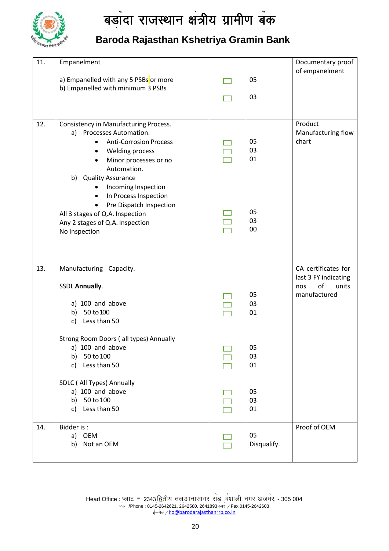

# **Baroda Rajasthan Kshetriya Gramin Bank**

| 11. | Empanelment                                                                |             | Documentary proof                  |
|-----|----------------------------------------------------------------------------|-------------|------------------------------------|
|     |                                                                            |             | of empanelment                     |
|     | a) Empanelled with any 5 PSBs or more                                      | 05          |                                    |
|     | b) Empanelled with minimum 3 PSBs                                          |             |                                    |
|     |                                                                            | 03          |                                    |
|     |                                                                            |             |                                    |
| 12. | Consistency in Manufacturing Process.                                      |             | Product                            |
|     | a) Processes Automation.                                                   |             | Manufacturing flow                 |
|     | <b>Anti-Corrosion Process</b><br>$\bullet$                                 | 05          | chart                              |
|     | <b>Welding process</b><br>$\bullet$                                        | 03          |                                    |
|     | Minor processes or no<br>$\bullet$                                         | 01          |                                    |
|     | Automation.                                                                |             |                                    |
|     | b) Quality Assurance                                                       |             |                                    |
|     | Incoming Inspection                                                        |             |                                    |
|     | In Process Inspection<br>$\bullet$<br>Pre Dispatch Inspection<br>$\bullet$ |             |                                    |
|     | All 3 stages of Q.A. Inspection                                            | 05          |                                    |
|     | Any 2 stages of Q.A. Inspection                                            | 03          |                                    |
|     | No Inspection                                                              | 00          |                                    |
|     |                                                                            |             |                                    |
|     |                                                                            |             |                                    |
|     |                                                                            |             |                                    |
| 13. | Manufacturing Capacity.                                                    |             | CA certificates for                |
|     |                                                                            |             | last 3 FY indicating               |
|     | <b>SSDL Annually.</b>                                                      | 05          | of<br>units<br>nos<br>manufactured |
|     | a) 100 and above                                                           | 03          |                                    |
|     | b) 50 to 100                                                               | 01          |                                    |
|     | Less than 50<br>c)                                                         |             |                                    |
|     |                                                                            |             |                                    |
|     | Strong Room Doors (all types) Annually                                     |             |                                    |
|     | a) 100 and above                                                           | 05          |                                    |
|     | 50 to 100<br>b)                                                            | 03          |                                    |
|     | Less than 50<br>c)                                                         | 01          |                                    |
|     | SDLC (All Types) Annually                                                  |             |                                    |
|     | a) 100 and above                                                           | 05          |                                    |
|     | b) 50 to 100                                                               | 03          |                                    |
|     | Less than 50<br>c)                                                         | 01          |                                    |
|     | Bidder is:                                                                 |             | Proof of OEM                       |
| 14. | a) OEM                                                                     | 05          |                                    |
|     | b) Not an OEM                                                              | Disqualify. |                                    |
|     |                                                                            |             |                                    |
|     |                                                                            |             |                                    |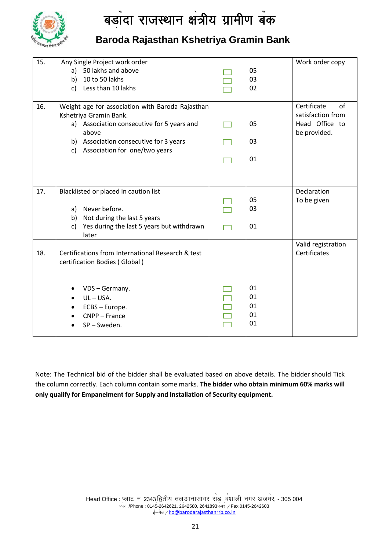

# **Baroda Rajasthan Kshetriya Gramin Bank**

| 15. | Any Single Project work order                       |    | Work order copy                |
|-----|-----------------------------------------------------|----|--------------------------------|
|     | 50 lakhs and above<br>a)                            | 05 |                                |
|     | b) 10 to 50 lakhs                                   | 03 |                                |
|     |                                                     | 02 |                                |
|     | c) Less than 10 lakhs                               |    |                                |
| 16. | Weight age for association with Baroda Rajasthan    |    | Certificate<br>of              |
|     | Kshetriya Gramin Bank.                              |    | satisfaction from              |
|     | a) Association consecutive for 5 years and<br>above | 05 | Head Office to<br>be provided. |
|     | b) Association consecutive for 3 years              | 03 |                                |
|     | c) Association for one/two years                    |    |                                |
|     |                                                     | 01 |                                |
|     |                                                     |    |                                |
|     |                                                     |    |                                |
| 17. | Blacklisted or placed in caution list               |    | Declaration                    |
|     |                                                     | 05 | To be given                    |
|     | Never before.<br>a)                                 | 03 |                                |
|     | Not during the last 5 years<br>b)                   |    |                                |
|     | Yes during the last 5 years but withdrawn<br>C)     | 01 |                                |
|     | later                                               |    |                                |
|     |                                                     |    | Valid registration             |
| 18. | Certifications from International Research & test   |    | Certificates                   |
|     | certification Bodies (Global)                       |    |                                |
|     |                                                     |    |                                |
|     |                                                     |    |                                |
|     | VDS - Germany.                                      | 01 |                                |
|     | $UL - USA.$                                         | 01 |                                |
|     | ECBS - Europe.<br>$\bullet$                         | 01 |                                |
|     | CNPP - France                                       | 01 |                                |
|     | SP-Sweden.                                          | 01 |                                |
|     |                                                     |    |                                |

Note: The Technical bid of the bidder shall be evaluated based on above details. The bidder should Tick the column correctly. Each column contain some marks. **The bidder who obtain minimum 60% marks will only qualify for Empanelment for Supply and Installation of Security equipment.**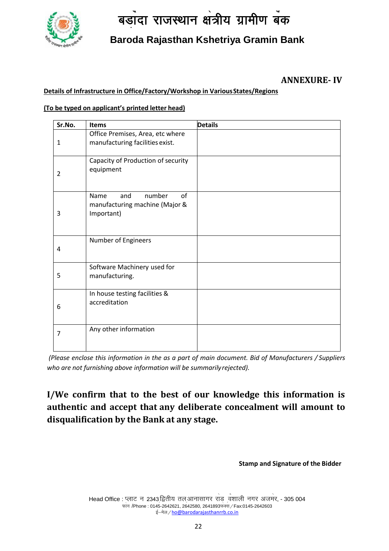

# **Baroda Rajasthan Kshetriya Gramin Bank**

# (Sponsored by Bank of Baroda) **ANNEXURE- IV**

#### **Details of Infrastructure in Office/Factory/Workshop in VariousStates/Regions**

#### **(To be typed on applicant's printed letter head)**

| Sr.No. | <b>Items</b>                                                                | <b>Details</b> |
|--------|-----------------------------------------------------------------------------|----------------|
| 1      | Office Premises, Area, etc where<br>manufacturing facilities exist.         |                |
| 2      | Capacity of Production of security<br>equipment                             |                |
| 3      | number<br>of<br>Name<br>and<br>manufacturing machine (Major &<br>Important) |                |
| 4      | Number of Engineers                                                         |                |
| 5      | Software Machinery used for<br>manufacturing.                               |                |
| 6      | In house testing facilities &<br>accreditation                              |                |
| 7      | Any other information                                                       |                |

*(Please enclose this information in the as a part of main document. Bid of Manufacturers / Suppliers who are not furnishing above information will be summarilyrejected).*

**I/We confirm that to the best of our knowledge this information is authentic and accept that any deliberate concealment will amount to disqualification by the Bank at any stage.**

**Stamp and Signature of the Bidder**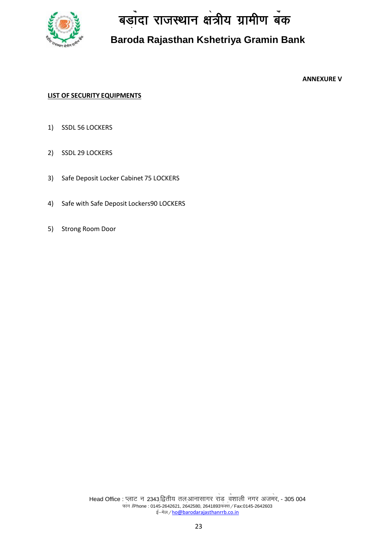

# **Baroda Rajasthan Kshetriya Gramin Bank**

**ANNEXURE V**

#### **LIST OF SECURITY EQUIPMENTS**

- 1) SSDL 56 LOCKERS
- 2) SSDL 29 LOCKERS
- 3) Safe Deposit Locker Cabinet 75 LOCKERS
- 4) Safe with Safe Deposit Lockers90 LOCKERS
- 5) Strong Room Door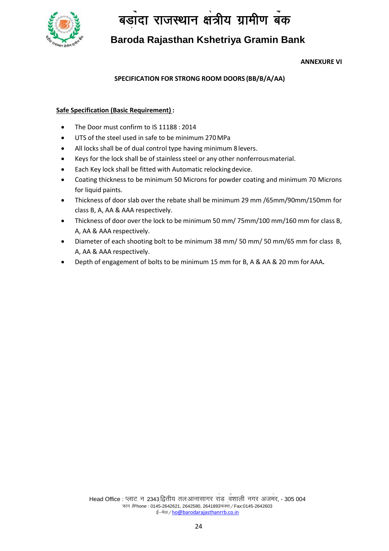

# **Baroda Rajasthan Kshetriya Gramin Bank**

#### **ANNEXURE VI**

# vk<sup>W</sup>Q cM<sup>+</sup> k nk }kjk izk;k<sup>s</sup> ftr<sup>1</sup> /2 (Sponsored by Bank of Baroda) **SPECIFICATION FOR STRONG ROOM DOORS (BB/B/A/AA)**

#### **Safe Specification (Basic Requirement) :**

- The Door must confirm to IS 11188 : 2014
- UTS of the steel used in safe to be minimum 270MPa
- All locks shall be of dual control type having minimum 8 levers.
- Keys for the lock shall be of stainless steel or any other nonferrousmaterial.
- Each Key lock shall be fitted with Automatic relocking device.
- Coating thickness to be minimum 50 Microns for powder coating and minimum 70 Microns for liquid paints.
- Thickness of door slab over the rebate shall be minimum 29 mm /65mm/90mm/150mm for class B, A, AA & AAA respectively.
- Thickness of door over the lock to be minimum 50 mm/ 75mm/100 mm/160 mm for class B, A, AA & AAA respectively.
- Diameter of each shooting bolt to be minimum 38 mm/ 50 mm/ 50 mm/65 mm for class B, A, AA & AAA respectively.
- Depth of engagement of bolts to be minimum 15 mm for B, A & AA & 20 mm forAAA**.**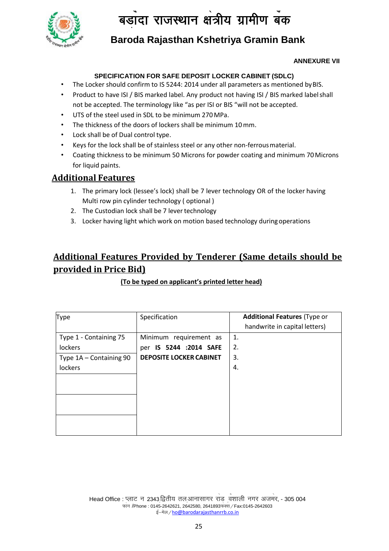

# **Baroda Rajasthan Kshetriya Gramin Bank**

#### **ANNEXURE VII**

#### **SPECIFICATION FOR SAFE DEPOSIT LOCKER CABINET (SDLC)**

- The Locker should confirm to IS 5244: 2014 under all parameters as mentioned by BIS.
- Product to have ISI / BIS marked label. Any product not having ISI / BIS marked labelshall not be accepted. The terminology like "as per ISI or BIS "will not be accepted.
- UTS of the steel used in SDL to be minimum 270 MPa.
- The thickness of the doors of lockers shall be minimum 10 mm.
- Lock shall be of Dual control type.
- Keys for the lock shall be of stainless steel or any other non-ferrous material.
- Coating thickness to be minimum 50 Microns for powder coating and minimum 70Microns for liquid paints.

# **Additional Features**

- 1. The primary lock (lessee's lock) shall be 7 lever technology OR of the locker having Multi row pin cylinder technology ( optional )
- 2. The Custodian lock shall be 7 lever technology
- 3. Locker having light which work on motion based technology during operations

# **Additional Features Provided by Tenderer (Same details should be provided in Price Bid)**

#### **(To be typed on applicant's printed letter head)**

| <b>Type</b>             | Specification                  | <b>Additional Features (Type or</b> |
|-------------------------|--------------------------------|-------------------------------------|
|                         |                                | handwrite in capital letters)       |
| Type 1 - Containing 75  | Minimum requirement as         | 1.                                  |
| lockers                 | per IS 5244 :2014 SAFE         | 2.                                  |
| Type 1A - Containing 90 | <b>DEPOSITE LOCKER CABINET</b> | 3.                                  |
| lockers                 |                                | 4.                                  |
|                         |                                |                                     |
|                         |                                |                                     |
|                         |                                |                                     |
|                         |                                |                                     |
|                         |                                |                                     |
|                         |                                |                                     |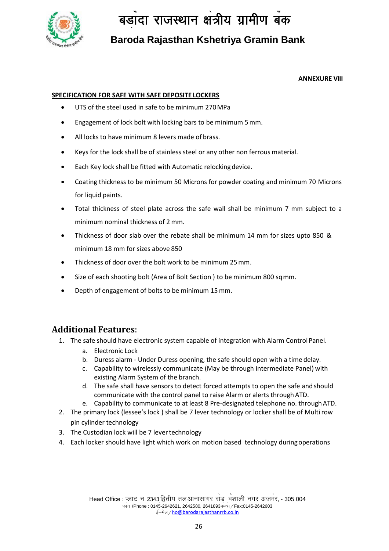

**Baroda Rajasthan Kshetriya Gramin Bank**

#### **ANNEXURE VIII**

#### **SPECIFICATION FOR SAFE WITH SAFE DEPOSITE LOCKERS**

- UTS of the steel used in safe to be minimum 270MPa
- Engagement of lock bolt with locking bars to be minimum 5mm.
- All locks to have minimum 8 levers made of brass.
- Keys for the lock shall be of stainless steel or any other non ferrous material.
- Each Key lock shall be fitted with Automatic relockingdevice.
- Coating thickness to be minimum 50 Microns for powder coating and minimum 70 Microns for liquid paints.
- Total thickness of steel plate across the safe wall shall be minimum 7 mm subject to a minimum nominal thickness of 2 mm.
- Thickness of door slab over the rebate shall be minimum 14 mm for sizes upto 850 & minimum 18 mm for sizes above 850
- Thickness of door over the bolt work to be minimum 25mm.
- Size of each shooting bolt (Area of Bolt Section ) to be minimum 800 sqmm.
- Depth of engagement of bolts to be minimum 15 mm.

## **Additional Features**:

- 1. The safe should have electronic system capable of integration with Alarm ControlPanel.
	- a. Electronic Lock
	- b. Duress alarm Under Duress opening, the safe should open with a time delay.
	- c. Capability to wirelessly communicate (May be through intermediate Panel) with existing Alarm System of the branch.
	- d. The safe shall have sensors to detect forced attempts to open the safe and should communicate with the control panel to raise Alarm or alerts through ATD.
	- e. Capability to communicate to at least 8 Pre-designated telephone no. throughATD.
- 2. The primary lock (lessee's lock ) shall be 7 lever technology or locker shall be of Multirow pin cylinder technology
- 3. The Custodian lock will be 7 lever technology
- 4. Each locker should have light which work on motion based technology duringoperations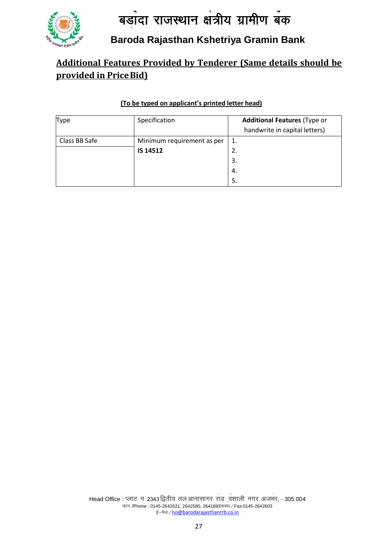

# **Baroda Rajasthan Kshetriya Gramin Bank**

# **Additional Features Provided by Tenderer (Same details should be provided in PriceBid)**

### **(To be typed on applicant's printed letter head)**

| <b>Type</b>   | Specification              | <b>Additional Features (Type or</b> |  |
|---------------|----------------------------|-------------------------------------|--|
|               |                            | handwrite in capital letters)       |  |
| Class BB Safe | Minimum requirement as per |                                     |  |
|               | IS 14512                   | 2.                                  |  |
|               |                            | 3.                                  |  |
|               |                            | 4.                                  |  |
|               |                            | .5                                  |  |